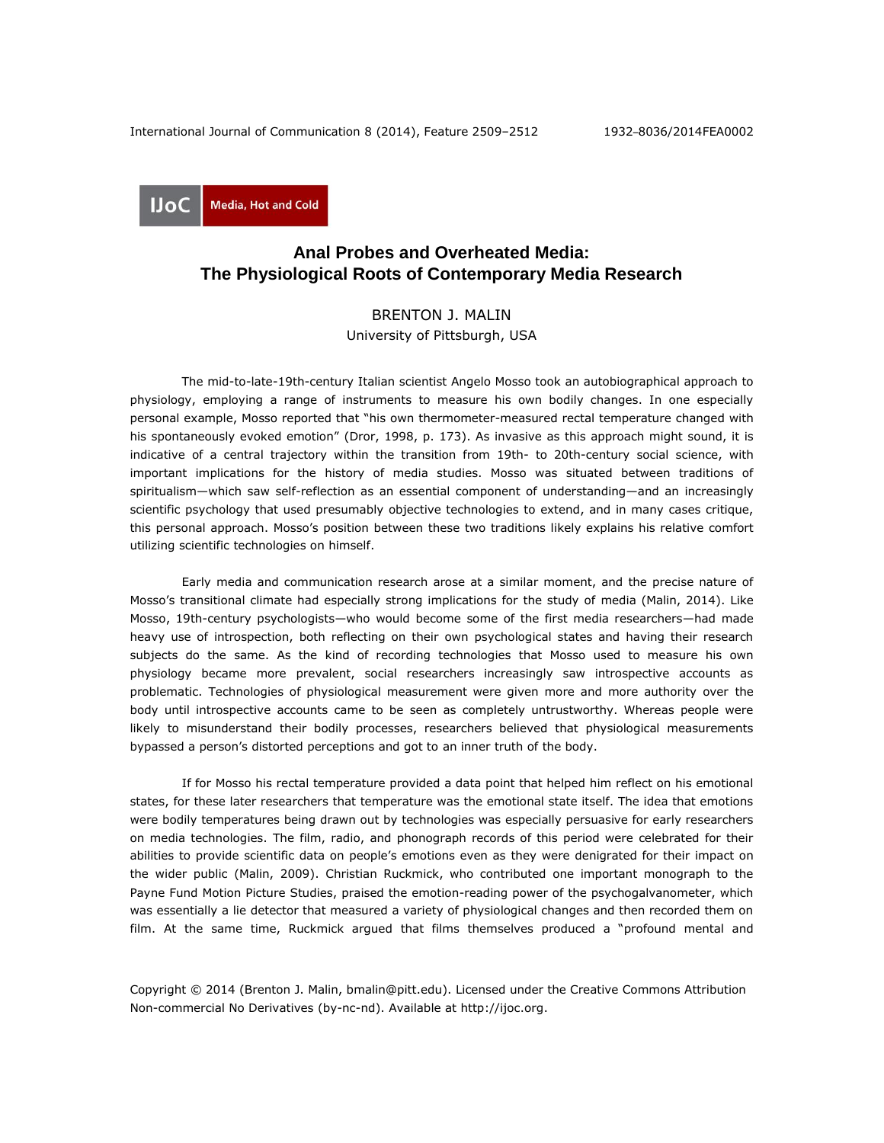

## **Anal Probes and Overheated Media: The Physiological Roots of Contemporary Media Research**

## BRENTON J. MALIN

University of Pittsburgh, USA

The mid-to-late-19th-century Italian scientist Angelo Mosso took an autobiographical approach to physiology, employing a range of instruments to measure his own bodily changes. In one especially personal example, Mosso reported that "his own thermometer-measured rectal temperature changed with his spontaneously evoked emotion" (Dror, 1998, p. 173). As invasive as this approach might sound, it is indicative of a central trajectory within the transition from 19th- to 20th-century social science, with important implications for the history of media studies. Mosso was situated between traditions of spiritualism—which saw self-reflection as an essential component of understanding—and an increasingly scientific psychology that used presumably objective technologies to extend, and in many cases critique, this personal approach. Mosso's position between these two traditions likely explains his relative comfort utilizing scientific technologies on himself.

Early media and communication research arose at a similar moment, and the precise nature of Mosso's transitional climate had especially strong implications for the study of media (Malin, 2014). Like Mosso, 19th-century psychologists—who would become some of the first media researchers—had made heavy use of introspection, both reflecting on their own psychological states and having their research subjects do the same. As the kind of recording technologies that Mosso used to measure his own physiology became more prevalent, social researchers increasingly saw introspective accounts as problematic. Technologies of physiological measurement were given more and more authority over the body until introspective accounts came to be seen as completely untrustworthy. Whereas people were likely to misunderstand their bodily processes, researchers believed that physiological measurements bypassed a person's distorted perceptions and got to an inner truth of the body.

If for Mosso his rectal temperature provided a data point that helped him reflect on his emotional states, for these later researchers that temperature was the emotional state itself. The idea that emotions were bodily temperatures being drawn out by technologies was especially persuasive for early researchers on media technologies. The film, radio, and phonograph records of this period were celebrated for their abilities to provide scientific data on people's emotions even as they were denigrated for their impact on the wider public (Malin, 2009). Christian Ruckmick, who contributed one important monograph to the Payne Fund Motion Picture Studies, praised the emotion-reading power of the psychogalvanometer, which was essentially a lie detector that measured a variety of physiological changes and then recorded them on film. At the same time, Ruckmick argued that films themselves produced a "profound mental and

Copyright © 2014 (Brenton J. Malin, bmalin@pitt.edu). Licensed under the Creative Commons Attribution Non-commercial No Derivatives (by-nc-nd). Available at [http://ijoc.org.](http://ijoc.org/)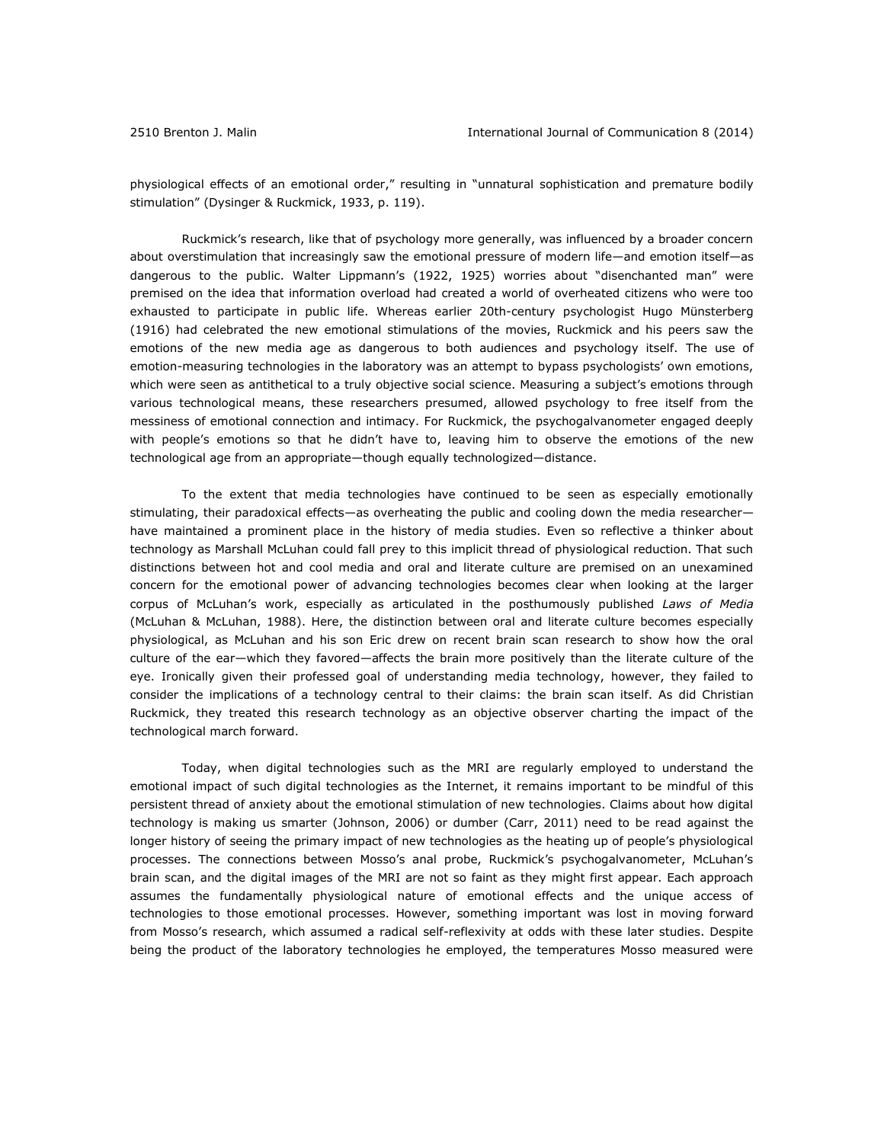physiological effects of an emotional order," resulting in "unnatural sophistication and premature bodily stimulation" (Dysinger & Ruckmick, 1933, p. 119).

Ruckmick's research, like that of psychology more generally, was influenced by a broader concern about overstimulation that increasingly saw the emotional pressure of modern life—and emotion itself—as dangerous to the public. Walter Lippmann's (1922, 1925) worries about "disenchanted man" were premised on the idea that information overload had created a world of overheated citizens who were too exhausted to participate in public life. Whereas earlier 20th-century psychologist Hugo Münsterberg (1916) had celebrated the new emotional stimulations of the movies, Ruckmick and his peers saw the emotions of the new media age as dangerous to both audiences and psychology itself. The use of emotion-measuring technologies in the laboratory was an attempt to bypass psychologists' own emotions, which were seen as antithetical to a truly objective social science. Measuring a subject's emotions through various technological means, these researchers presumed, allowed psychology to free itself from the messiness of emotional connection and intimacy. For Ruckmick, the psychogalvanometer engaged deeply with people's emotions so that he didn't have to, leaving him to observe the emotions of the new technological age from an appropriate—though equally technologized—distance.

To the extent that media technologies have continued to be seen as especially emotionally stimulating, their paradoxical effects—as overheating the public and cooling down the media researcher have maintained a prominent place in the history of media studies. Even so reflective a thinker about technology as Marshall McLuhan could fall prey to this implicit thread of physiological reduction. That such distinctions between hot and cool media and oral and literate culture are premised on an unexamined concern for the emotional power of advancing technologies becomes clear when looking at the larger corpus of McLuhan's work, especially as articulated in the posthumously published *Laws of Media* (McLuhan & McLuhan, 1988). Here, the distinction between oral and literate culture becomes especially physiological, as McLuhan and his son Eric drew on recent brain scan research to show how the oral culture of the ear—which they favored—affects the brain more positively than the literate culture of the eye. Ironically given their professed goal of understanding media technology, however, they failed to consider the implications of a technology central to their claims: the brain scan itself. As did Christian Ruckmick, they treated this research technology as an objective observer charting the impact of the technological march forward.

Today, when digital technologies such as the MRI are regularly employed to understand the emotional impact of such digital technologies as the Internet, it remains important to be mindful of this persistent thread of anxiety about the emotional stimulation of new technologies. Claims about how digital technology is making us smarter (Johnson, 2006) or dumber (Carr, 2011) need to be read against the longer history of seeing the primary impact of new technologies as the heating up of people's physiological processes. The connections between Mosso's anal probe, Ruckmick's psychogalvanometer, McLuhan's brain scan, and the digital images of the MRI are not so faint as they might first appear. Each approach assumes the fundamentally physiological nature of emotional effects and the unique access of technologies to those emotional processes. However, something important was lost in moving forward from Mosso's research, which assumed a radical self-reflexivity at odds with these later studies. Despite being the product of the laboratory technologies he employed, the temperatures Mosso measured were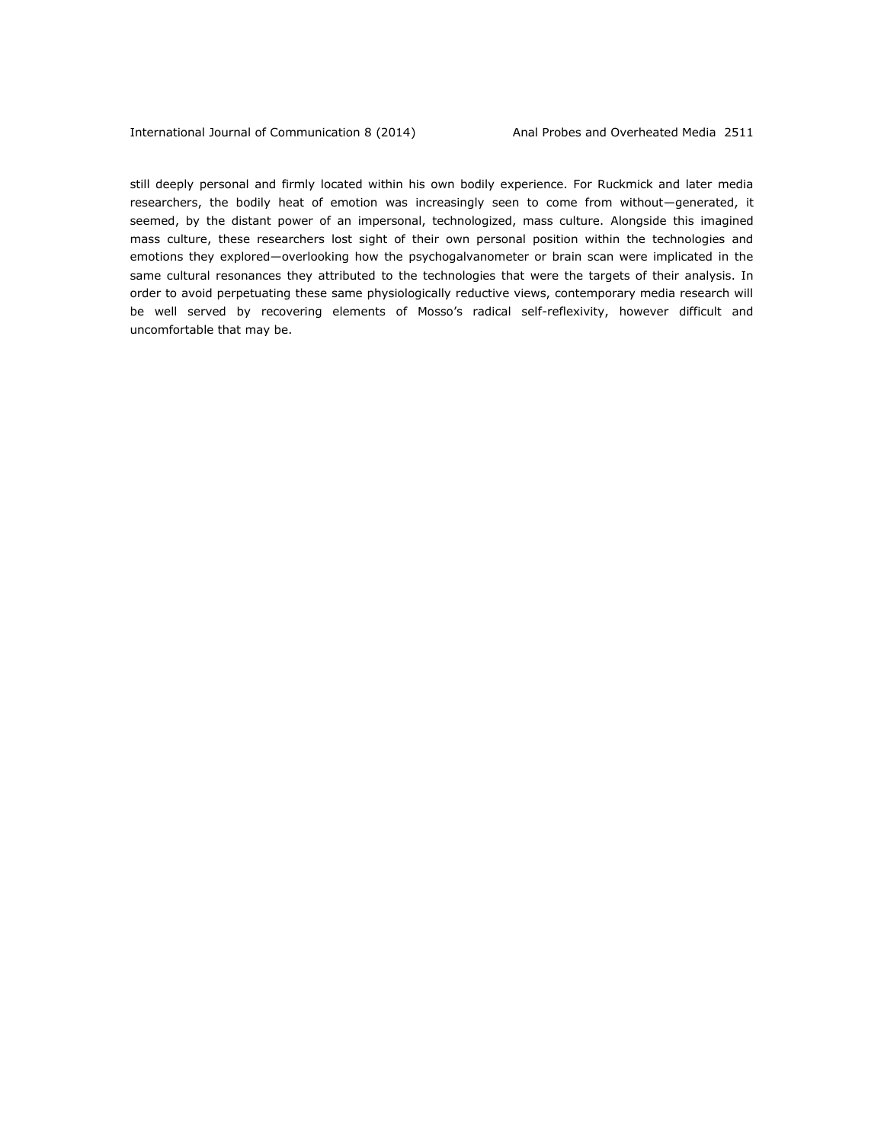still deeply personal and firmly located within his own bodily experience. For Ruckmick and later media researchers, the bodily heat of emotion was increasingly seen to come from without—generated, it seemed, by the distant power of an impersonal, technologized, mass culture. Alongside this imagined mass culture, these researchers lost sight of their own personal position within the technologies and emotions they explored—overlooking how the psychogalvanometer or brain scan were implicated in the same cultural resonances they attributed to the technologies that were the targets of their analysis. In order to avoid perpetuating these same physiologically reductive views, contemporary media research will be well served by recovering elements of Mosso's radical self-reflexivity, however difficult and uncomfortable that may be.